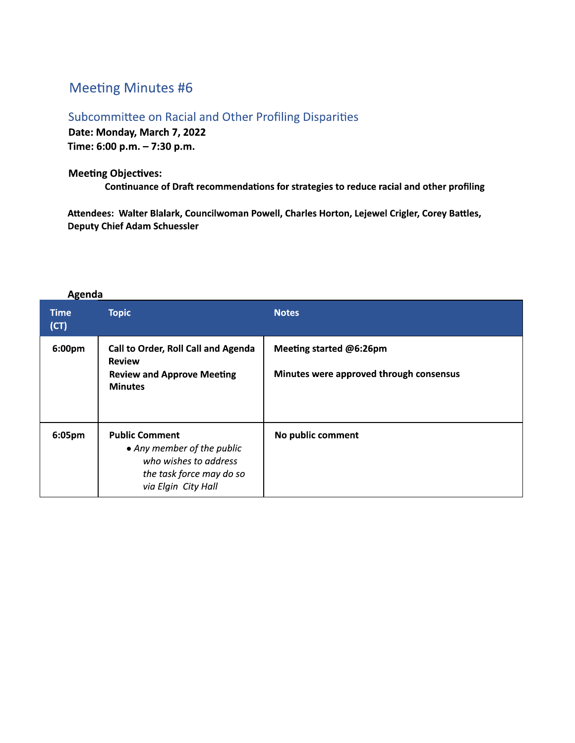## **Meeting Minutes #6**

Agenda

Subcommittee on Racial and Other Profiling Disparities Date: Monday, March 7, 2022 Time: 6:00 p.m. - 7:30 p.m.

**Meeting Objectives:** Continuance of Draft recommendations for strategies to reduce racial and other profiling

Attendees: Walter Blalark, Councilwoman Powell, Charles Horton, Lejewel Crigler, Corey Battles, **Deputy Chief Adam Schuessler** 

| Time<br>(CT) | <b>Topic</b>                                                                                                                    | <b>Notes</b>                                                       |
|--------------|---------------------------------------------------------------------------------------------------------------------------------|--------------------------------------------------------------------|
| 6:00pm       | <b>Call to Order, Roll Call and Agenda</b><br><b>Review</b><br><b>Review and Approve Meeting</b><br><b>Minutes</b>              | Meeting started @6:26pm<br>Minutes were approved through consensus |
| 6:05pm       | <b>Public Comment</b><br>• Any member of the public<br>who wishes to address<br>the task force may do so<br>via Elgin City Hall | No public comment                                                  |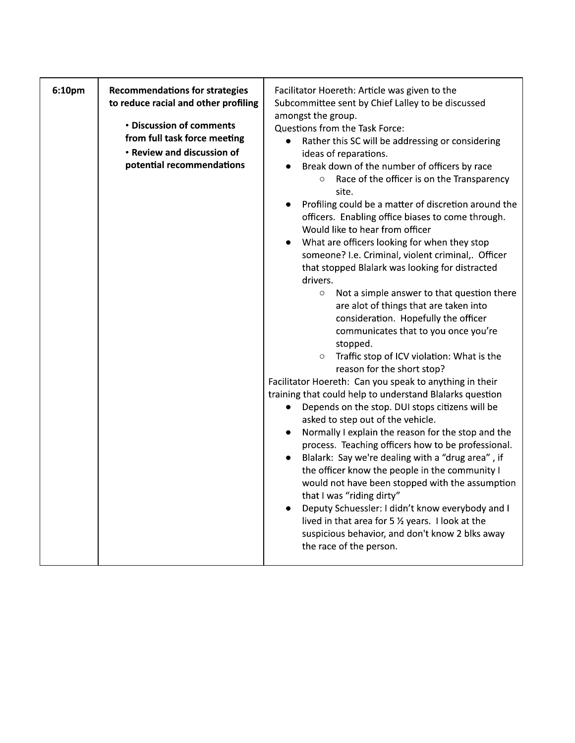| 6:10pm | <b>Recommendations for strategies</b><br>to reduce racial and other profiling                                       | Facilitator Hoereth: Article was given to the<br>Subcommittee sent by Chief Lalley to be discussed                                                                                                                                                                                                                                                                                                                                                                                                                                                                                                                                                                                                                                                                                                                                                                                                                                                                                                                                                                                                                                                                                                                                                                                                                                                                                                         |
|--------|---------------------------------------------------------------------------------------------------------------------|------------------------------------------------------------------------------------------------------------------------------------------------------------------------------------------------------------------------------------------------------------------------------------------------------------------------------------------------------------------------------------------------------------------------------------------------------------------------------------------------------------------------------------------------------------------------------------------------------------------------------------------------------------------------------------------------------------------------------------------------------------------------------------------------------------------------------------------------------------------------------------------------------------------------------------------------------------------------------------------------------------------------------------------------------------------------------------------------------------------------------------------------------------------------------------------------------------------------------------------------------------------------------------------------------------------------------------------------------------------------------------------------------------|
|        | • Discussion of comments<br>from full task force meeting<br>• Review and discussion of<br>potential recommendations | amongst the group.<br>Questions from the Task Force:<br>Rather this SC will be addressing or considering<br>$\bullet$<br>ideas of reparations.<br>Break down of the number of officers by race<br>Race of the officer is on the Transparency<br>$\circ$<br>site.<br>Profiling could be a matter of discretion around the<br>officers. Enabling office biases to come through.<br>Would like to hear from officer<br>What are officers looking for when they stop<br>someone? I.e. Criminal, violent criminal,. Officer<br>that stopped Blalark was looking for distracted<br>drivers.<br>Not a simple answer to that question there<br>$\circ$<br>are alot of things that are taken into<br>consideration. Hopefully the officer<br>communicates that to you once you're<br>stopped.<br>Traffic stop of ICV violation: What is the<br>$\circ$<br>reason for the short stop?<br>Facilitator Hoereth: Can you speak to anything in their<br>training that could help to understand Blalarks question<br>Depends on the stop. DUI stops citizens will be<br>asked to step out of the vehicle.<br>Normally I explain the reason for the stop and the<br>process. Teaching officers how to be professional.<br>Blalark: Say we're dealing with a "drug area", if<br>$\bullet$<br>the officer know the people in the community I<br>would not have been stopped with the assumption<br>that I was "riding dirty" |
|        |                                                                                                                     | Deputy Schuessler: I didn't know everybody and I<br>lived in that area for 5 $\frac{1}{2}$ years. I look at the<br>suspicious behavior, and don't know 2 blks away<br>the race of the person.                                                                                                                                                                                                                                                                                                                                                                                                                                                                                                                                                                                                                                                                                                                                                                                                                                                                                                                                                                                                                                                                                                                                                                                                              |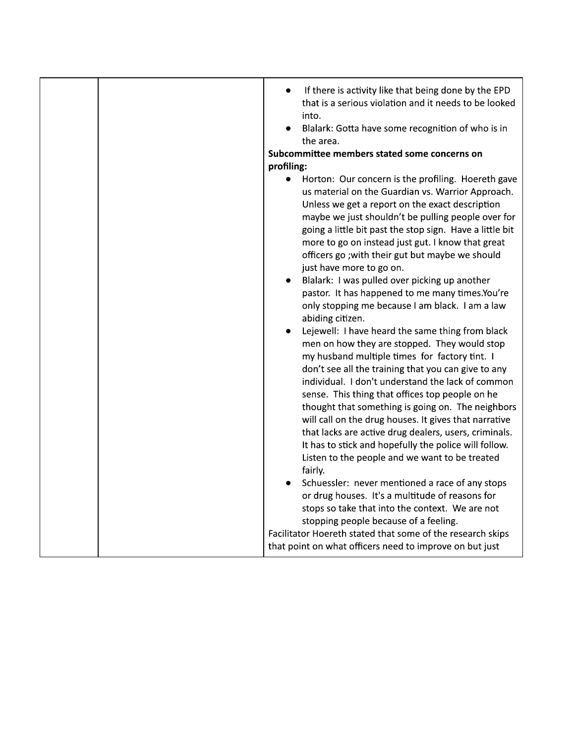|  | If there is activity like that being done by the EPD<br>$\bullet$<br>that is a serious violation and it needs to be looked<br>into.<br>Blalark: Gotta have some recognition of who is in<br>the area.<br>Subcommittee members stated some concerns on<br>profiling:<br>Horton: Our concern is the profiling. Hoereth gave<br>$\bullet$<br>us material on the Guardian vs. Warrior Approach.<br>Unless we get a report on the exact description<br>maybe we just shouldn't be pulling people over for<br>going a little bit past the stop sign. Have a little bit<br>more to go on instead just gut. I know that great<br>officers go ; with their gut but maybe we should<br>just have more to go on.<br>Blalark: I was pulled over picking up another<br>٠<br>pastor. It has happened to me many times.You're<br>only stopping me because I am black. I am a law<br>abiding citizen.<br>Lejewell: I have heard the same thing from black<br>men on how they are stopped. They would stop<br>my husband multiple times for factory tint. I<br>don't see all the training that you can give to any<br>individual. I don't understand the lack of common<br>sense. This thing that offices top people on he<br>thought that something is going on. The neighbors<br>will call on the drug houses. It gives that narrative<br>that lacks are active drug dealers, users, criminals.<br>It has to stick and hopefully the police will follow. |
|--|-------------------------------------------------------------------------------------------------------------------------------------------------------------------------------------------------------------------------------------------------------------------------------------------------------------------------------------------------------------------------------------------------------------------------------------------------------------------------------------------------------------------------------------------------------------------------------------------------------------------------------------------------------------------------------------------------------------------------------------------------------------------------------------------------------------------------------------------------------------------------------------------------------------------------------------------------------------------------------------------------------------------------------------------------------------------------------------------------------------------------------------------------------------------------------------------------------------------------------------------------------------------------------------------------------------------------------------------------------------------------------------------------------------------------------------------|
|  | Listen to the people and we want to be treated<br>fairly.                                                                                                                                                                                                                                                                                                                                                                                                                                                                                                                                                                                                                                                                                                                                                                                                                                                                                                                                                                                                                                                                                                                                                                                                                                                                                                                                                                                 |
|  | Schuessler: never mentioned a race of any stops<br>or drug houses. It's a multitude of reasons for<br>stops so take that into the context. We are not<br>stopping people because of a feeling.<br>Facilitator Hoereth stated that some of the research skips<br>that point on what officers need to improve on but just                                                                                                                                                                                                                                                                                                                                                                                                                                                                                                                                                                                                                                                                                                                                                                                                                                                                                                                                                                                                                                                                                                                   |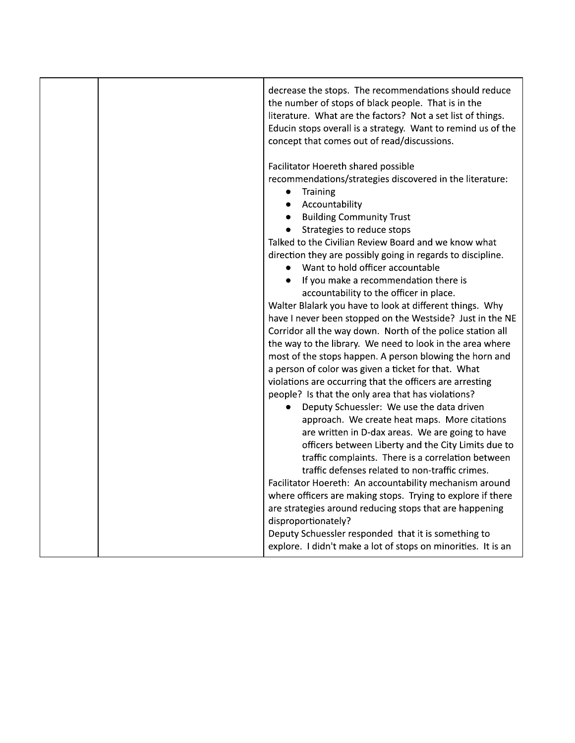|  | decrease the stops. The recommendations should reduce<br>the number of stops of black people. That is in the<br>literature. What are the factors? Not a set list of things.<br>Educin stops overall is a strategy. Want to remind us of the<br>concept that comes out of read/discussions.                                                                                                                                                                                                                                                                                                                                                                                                                                                                                                                                       |
|--|----------------------------------------------------------------------------------------------------------------------------------------------------------------------------------------------------------------------------------------------------------------------------------------------------------------------------------------------------------------------------------------------------------------------------------------------------------------------------------------------------------------------------------------------------------------------------------------------------------------------------------------------------------------------------------------------------------------------------------------------------------------------------------------------------------------------------------|
|  | Facilitator Hoereth shared possible<br>recommendations/strategies discovered in the literature:<br>Training<br>$\bullet$<br>Accountability<br><b>Building Community Trust</b><br>Strategies to reduce stops<br>Talked to the Civilian Review Board and we know what<br>direction they are possibly going in regards to discipline.<br>Want to hold officer accountable<br>If you make a recommendation there is<br>accountability to the officer in place.<br>Walter Blalark you have to look at different things. Why<br>have I never been stopped on the Westside? Just in the NE<br>Corridor all the way down. North of the police station all<br>the way to the library. We need to look in the area where<br>most of the stops happen. A person blowing the horn and<br>a person of color was given a ticket for that. What |
|  | violations are occurring that the officers are arresting<br>people? Is that the only area that has violations?<br>Deputy Schuessler: We use the data driven<br>approach. We create heat maps. More citations<br>are written in D-dax areas. We are going to have<br>officers between Liberty and the City Limits due to<br>traffic complaints. There is a correlation between<br>traffic defenses related to non-traffic crimes.<br>Facilitator Hoereth: An accountability mechanism around<br>where officers are making stops. Trying to explore if there<br>are strategies around reducing stops that are happening<br>disproportionately?<br>Deputy Schuessler responded that it is something to<br>explore. I didn't make a lot of stops on minorities. It is an                                                             |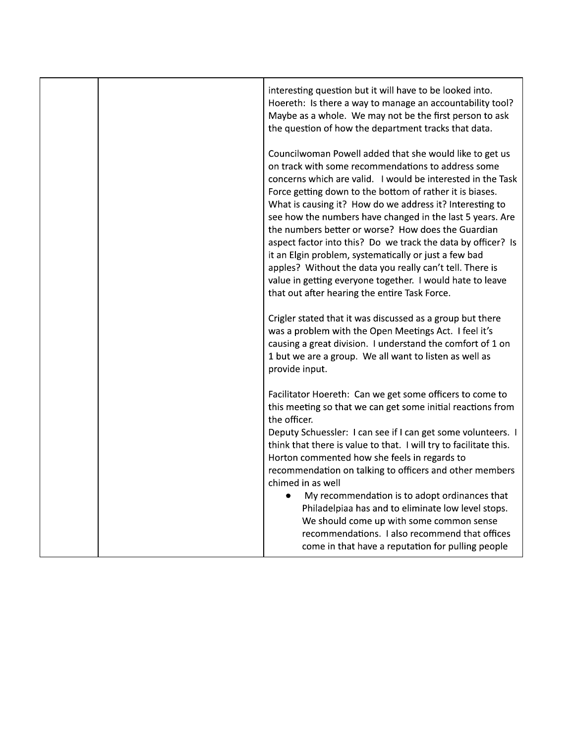|  | interesting question but it will have to be looked into.<br>Hoereth: Is there a way to manage an accountability tool?<br>Maybe as a whole. We may not be the first person to ask<br>the question of how the department tracks that data.                                                                                                                                                                                                                                                                                                                                                                                                                                                                                   |
|--|----------------------------------------------------------------------------------------------------------------------------------------------------------------------------------------------------------------------------------------------------------------------------------------------------------------------------------------------------------------------------------------------------------------------------------------------------------------------------------------------------------------------------------------------------------------------------------------------------------------------------------------------------------------------------------------------------------------------------|
|  | Councilwoman Powell added that she would like to get us<br>on track with some recommendations to address some<br>concerns which are valid. I would be interested in the Task<br>Force getting down to the bottom of rather it is biases.<br>What is causing it? How do we address it? Interesting to<br>see how the numbers have changed in the last 5 years. Are<br>the numbers better or worse? How does the Guardian<br>aspect factor into this? Do we track the data by officer? Is<br>it an Elgin problem, systematically or just a few bad<br>apples? Without the data you really can't tell. There is<br>value in getting everyone together. I would hate to leave<br>that out after hearing the entire Task Force. |
|  | Crigler stated that it was discussed as a group but there<br>was a problem with the Open Meetings Act. I feel it's<br>causing a great division. I understand the comfort of 1 on<br>1 but we are a group. We all want to listen as well as<br>provide input.                                                                                                                                                                                                                                                                                                                                                                                                                                                               |
|  | Facilitator Hoereth: Can we get some officers to come to<br>this meeting so that we can get some initial reactions from<br>the officer.<br>Deputy Schuessler: I can see if I can get some volunteers. I<br>think that there is value to that. I will try to facilitate this.<br>Horton commented how she feels in regards to<br>recommendation on talking to officers and other members<br>chimed in as well<br>My recommendation is to adopt ordinances that<br>$\bullet$<br>Philadelpiaa has and to eliminate low level stops.                                                                                                                                                                                           |
|  | We should come up with some common sense<br>recommendations. I also recommend that offices<br>come in that have a reputation for pulling people                                                                                                                                                                                                                                                                                                                                                                                                                                                                                                                                                                            |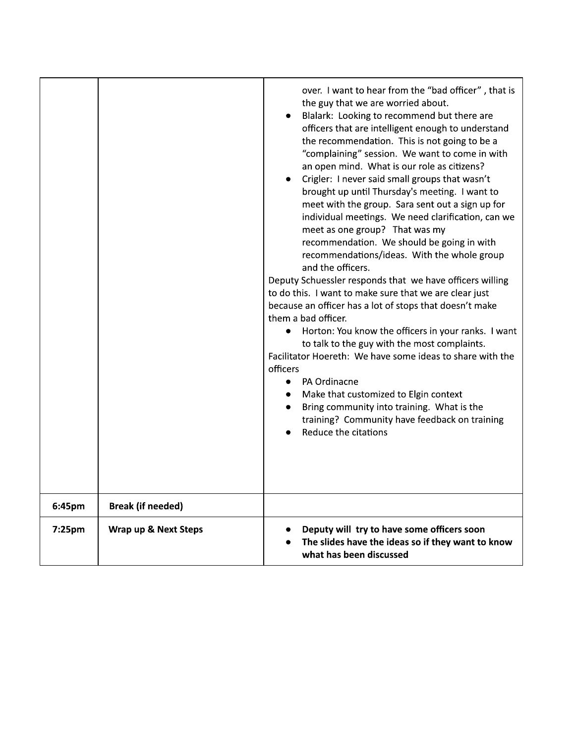|        |                          | over. I want to hear from the "bad officer", that is<br>the guy that we are worried about.<br>Blalark: Looking to recommend but there are<br>officers that are intelligent enough to understand<br>the recommendation. This is not going to be a<br>"complaining" session. We want to come in with<br>an open mind. What is our role as citizens?<br>Crigler: I never said small groups that wasn't<br>brought up until Thursday's meeting. I want to<br>meet with the group. Sara sent out a sign up for<br>individual meetings. We need clarification, can we<br>meet as one group? That was my<br>recommendation. We should be going in with<br>recommendations/ideas. With the whole group<br>and the officers.<br>Deputy Schuessler responds that we have officers willing<br>to do this. I want to make sure that we are clear just<br>because an officer has a lot of stops that doesn't make<br>them a bad officer.<br>Horton: You know the officers in your ranks. I want<br>to talk to the guy with the most complaints.<br>Facilitator Hoereth: We have some ideas to share with the<br>officers<br>PA Ordinacne<br>$\bullet$<br>Make that customized to Elgin context<br>Bring community into training. What is the<br>training? Community have feedback on training<br>Reduce the citations |
|--------|--------------------------|----------------------------------------------------------------------------------------------------------------------------------------------------------------------------------------------------------------------------------------------------------------------------------------------------------------------------------------------------------------------------------------------------------------------------------------------------------------------------------------------------------------------------------------------------------------------------------------------------------------------------------------------------------------------------------------------------------------------------------------------------------------------------------------------------------------------------------------------------------------------------------------------------------------------------------------------------------------------------------------------------------------------------------------------------------------------------------------------------------------------------------------------------------------------------------------------------------------------------------------------------------------------------------------------------------|
| 6:45pm | <b>Break (if needed)</b> |                                                                                                                                                                                                                                                                                                                                                                                                                                                                                                                                                                                                                                                                                                                                                                                                                                                                                                                                                                                                                                                                                                                                                                                                                                                                                                          |
| 7:25pm | Wrap up & Next Steps     | Deputy will try to have some officers soon<br>The slides have the ideas so if they want to know<br>what has been discussed                                                                                                                                                                                                                                                                                                                                                                                                                                                                                                                                                                                                                                                                                                                                                                                                                                                                                                                                                                                                                                                                                                                                                                               |